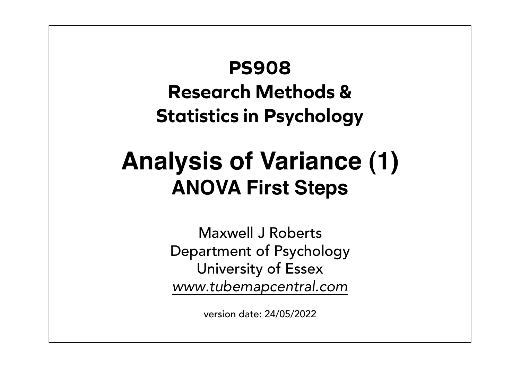# **PS908 Research Methods & Statistics in Psychology**

# **Analysis of Variance (1) ANOVA First Steps**

Maxwell J Roberts Department of Psychology University of Essex *www.tubemapcentral.com*

version date: 24/05/2022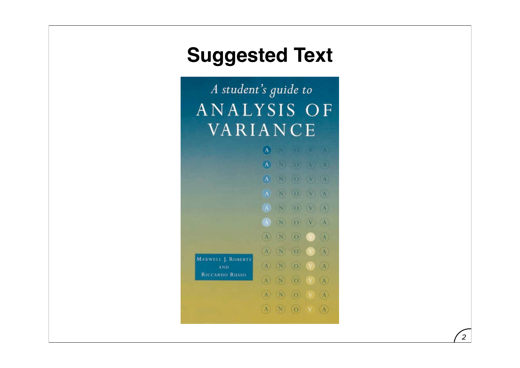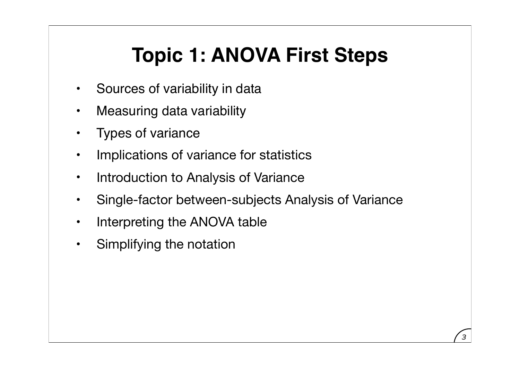# **Topic 1: ANOVA First Steps**

- Sources of variability in data
- Measuring data variability
- Types of variance
- Implications of variance for statistics
- Introduction to Analysis of Variance
- Single-factor between-subjects Analysis of Variance
- Interpreting the ANOVA table
- Simplifying the notation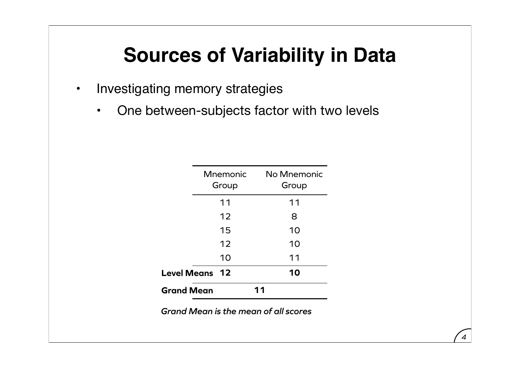## **Sources of Variability in Data**

- Investigating memory strategies
	- One between-subjects factor with two levels

| <b>Mnemonic</b><br>Group    | No Mnemonic<br>Group |
|-----------------------------|----------------------|
| 11                          | 11                   |
| 12                          | 8                    |
| 15                          | 10                   |
| 12                          | 10                   |
| 10                          | 11                   |
| <b>Level Means</b><br>$-12$ | 10                   |
| <b>Grand Mean</b>           |                      |

*Grand Mean is the mean of all scores*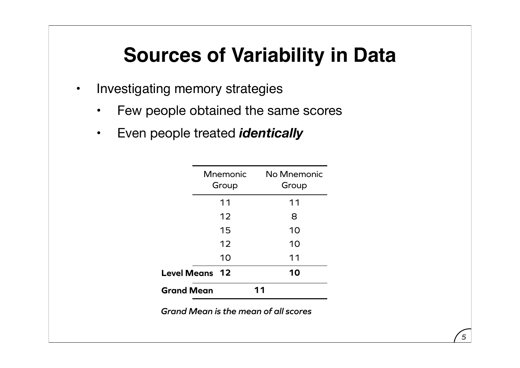## **Sources of Variability in Data**

- Investigating memory strategies
	- Few people obtained the same scores
	- Even people treated *identically*

|                    | <b>Mnemonic</b><br>Group | No Mnemonic<br>Group |
|--------------------|--------------------------|----------------------|
|                    | 11                       | 11                   |
|                    | 12                       | 8                    |
|                    | 15                       | 10                   |
|                    | 12                       | 10                   |
|                    | 10                       | 11                   |
| <b>Level Means</b> | $-12$                    | 10                   |
| <b>Grand Mean</b>  |                          |                      |

*Grand Mean is the mean of all scores*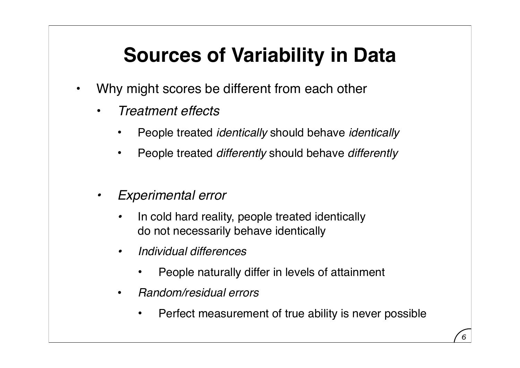# **Sources of Variability in Data**

- Why might scores be different from each other
	- *Treatment effects*
		- People treated *identically* should behave *identically*
		- People treated *differently* should behave *differently*
	- *• Experimental error*
		- *•* In cold hard reality, people treated identically do not necessarily behave identically
		- *• Individual differences*
			- People naturally differ in levels of attainment
		- *Random/residual errors*
			- Perfect measurement of true ability is never possible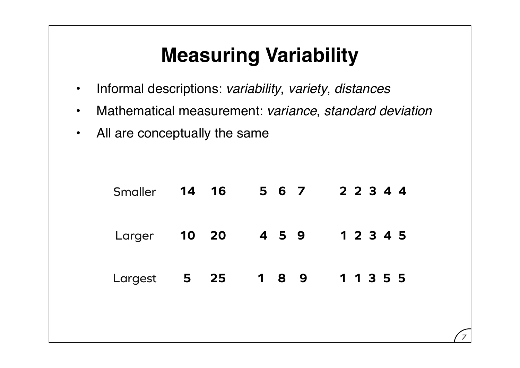- Informal descriptions: *variability*, *variety*, *distances*
- Mathematical measurement: *variance*, *standard deviation*
- All are conceptually the same

|         | Smaller 14 16       | 567                           | 2 2 3 4 4 |
|---------|---------------------|-------------------------------|-----------|
|         | Larger <b>10 20</b> | 459                           | 1 2 3 4 5 |
| Largest | 25<br>5             | $\overline{\mathbf{1}}$<br>89 | 1 1 3 5 5 |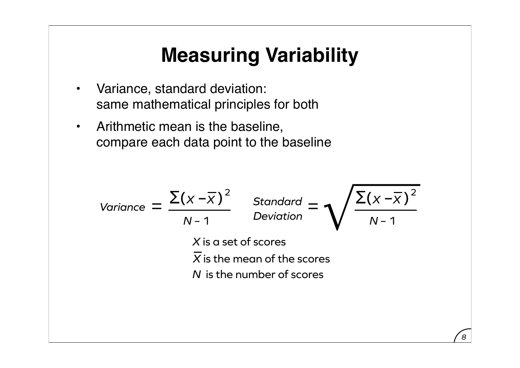- Variance, standard deviation: same mathematical principles for both
- Arithmetic mean is the baseline, compare each data point to the baseline

Variance = 
$$
\frac{\sum (x - \overline{x})^2}{N-1}
$$
Standard = 
$$
\sqrt{\frac{\sum (x - \overline{x})^2}{N-1}}
$$
  
X is a set of scores  
 $\overline{X}$  is the mean of the scores  
N is the number of scores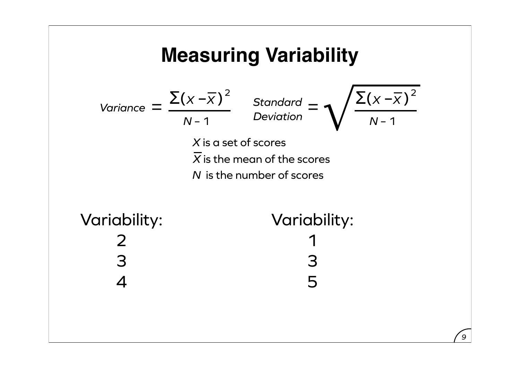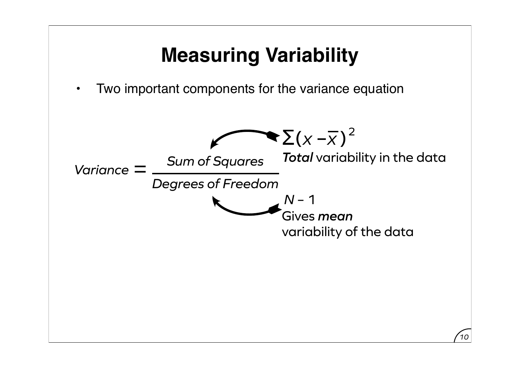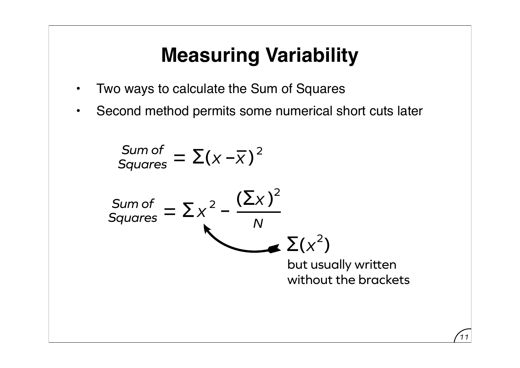- Two ways to calculate the Sum of Squares
- Second method permits some numerical short cuts later

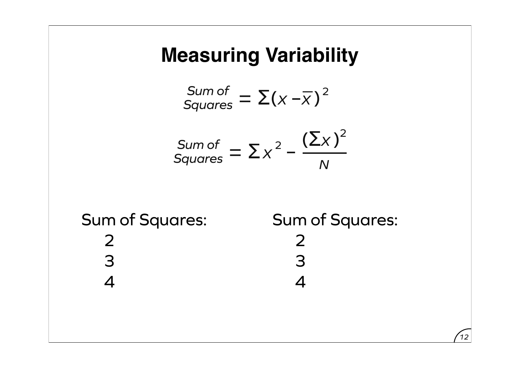Sum of  
Squares = 
$$
\Sigma(x - \overline{x})^2
$$

$$
\frac{\text{Sum of}}{\text{Squares}} = \sum x^2 - \frac{(\sum x)^2}{N}
$$

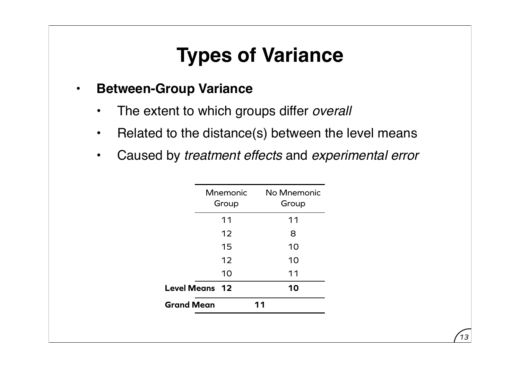## **Types of Variance**

#### • **Between-Group Variance**

- The extent to which groups differ *overall*
- Related to the distance(s) between the level means
- Caused by *treatment effects* and *experimental error*

|                   | <b>Mnemonic</b><br>Group | No Mnemonic<br>Group |
|-------------------|--------------------------|----------------------|
|                   | 11                       | 11                   |
|                   | 12                       | 8                    |
|                   | 15                       | 10                   |
|                   | 12                       | 10                   |
|                   | 10                       | 11                   |
|                   | <b>Level Means 12</b>    | 10                   |
| <b>Grand Mean</b> |                          | 11                   |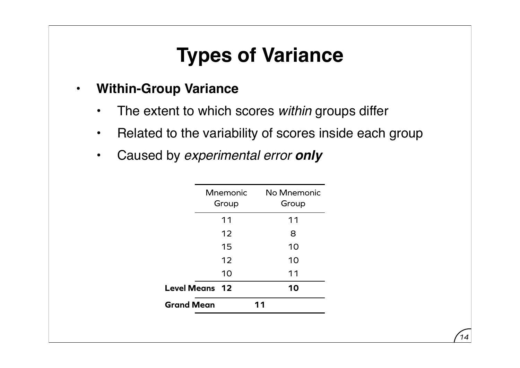## **Types of Variance**

#### • **Within-Group Variance**

- The extent to which scores *within* groups differ
- Related to the variability of scores inside each group
- Caused by *experimental error only*

|                   | Mnemonic<br>Group     | No Mnemonic<br>Group |
|-------------------|-----------------------|----------------------|
|                   | 11                    | 11                   |
|                   | 12                    | 8                    |
|                   | 15                    | 10                   |
|                   | 12                    | 10                   |
|                   | 10                    | 11                   |
|                   | <b>Level Means 12</b> | 10                   |
| <b>Grand Mean</b> |                       | 11                   |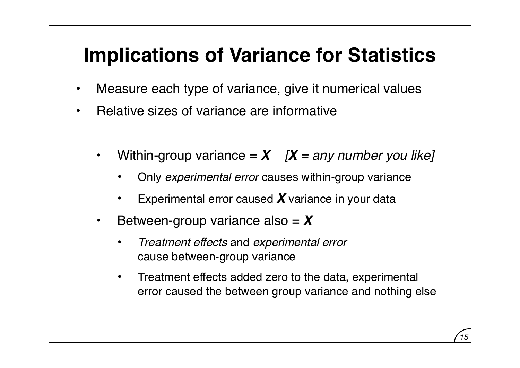#### **Implications of Variance for Statistics**

- Measure each type of variance, give it numerical values
- Relative sizes of variance are informative
	- Within-group variance  $= X \quad |X = any number you like]$ 
		- Only *experimental error* causes within-group variance
		- Experimental error caused **X** variance in your data
	- Between-group variance also = *X*
		- *Treatment effects* and *experimental error* cause between-group variance
		- Treatment effects added zero to the data, experimental error caused the between group variance and nothing else

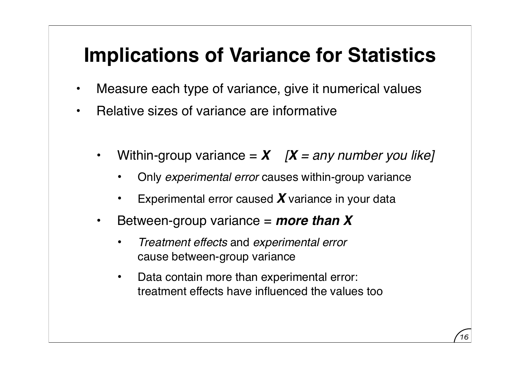#### **Implications of Variance for Statistics**

- Measure each type of variance, give it numerical values
- Relative sizes of variance are informative
	- Within-group variance  $= X \quad |X = any number you like]$ 
		- Only *experimental error* causes within-group variance
		- Experimental error caused **X** variance in your data
	- Between-group variance = *more than X*
		- *Treatment effects* and *experimental error* cause between-group variance
		- Data contain more than experimental error: treatment effects have influenced the values too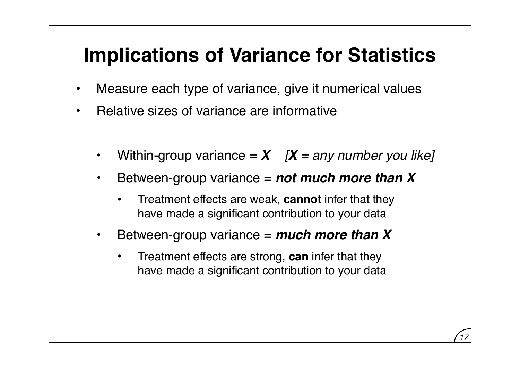#### **Implications of Variance for Statistics**

- Measure each type of variance, give it numerical values
- Relative sizes of variance are informative
	- Within-group variance  $= X \quad |X = any number you like]$
	- Between-group variance = *not much more than X*
		- Treatment effects are weak, **cannot** infer that they have made a significant contribution to your data
	- Between-group variance = *much more than X*
		- Treatment effects are strong, **can** infer that they have made a significant contribution to your data

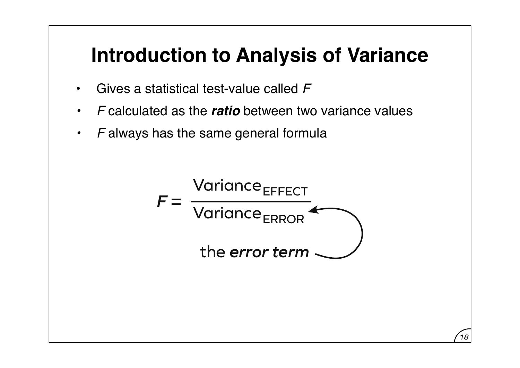- Gives a statistical test-value called *F*
- *• F* calculated as the *ratio* between two variance values
- *• F* always has the same general formula



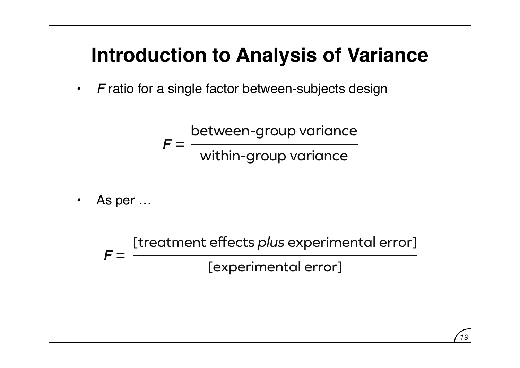*• F* ratio for a single factor between-subjects design

 $F =$ between-group variance within-group variance

*•* As per …

 $F =$ [treatment effects *plus* experimental error] [experimental error]

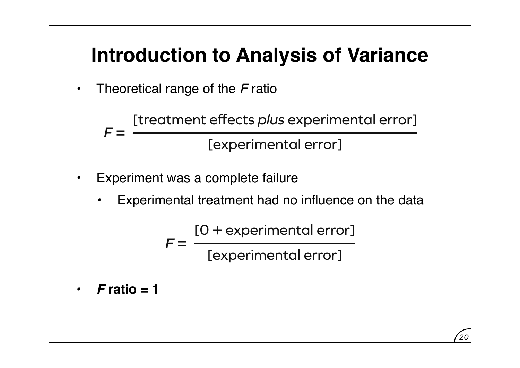*•* Theoretical range of the *F* ratio

 $F =$ [treatment effects *plus* experimental error] [experimental error]

- **Experiment was a complete failure** 
	- *•* Experimental treatment had no influence on the data

 $F =$ [0 + experimental error] [experimental error]

*• F* **ratio = 1**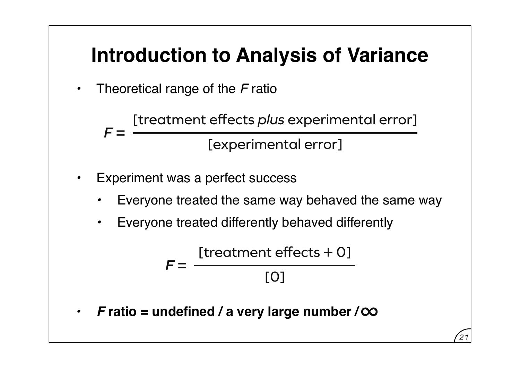*•* Theoretical range of the *F* ratio

 $F =$ [treatment effects *plus* experimental error] [experimental error]

- Experiment was a perfect success
	- *•* Everyone treated the same way behaved the same way
	- *•* Everyone treated differently behaved differently

$$
F = \frac{[treatment effects + 0]}{[0]}
$$

*21*

*• F* **ratio = undefined / a very large number /**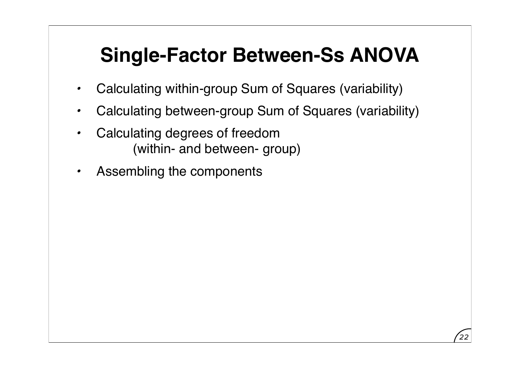- *•* Calculating within-group Sum of Squares (variability)
- *•* Calculating between-group Sum of Squares (variability)
- *•* Calculating degrees of freedom (within- and between- group)
- *•* Assembling the components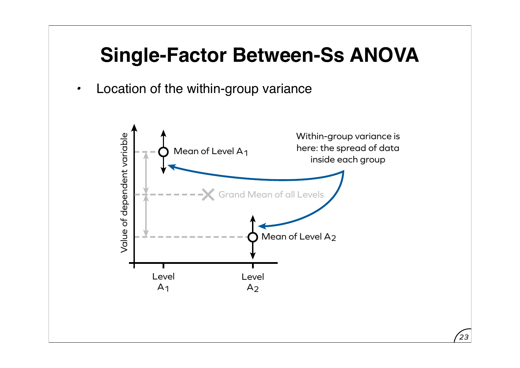*•* Location of the within-group variance

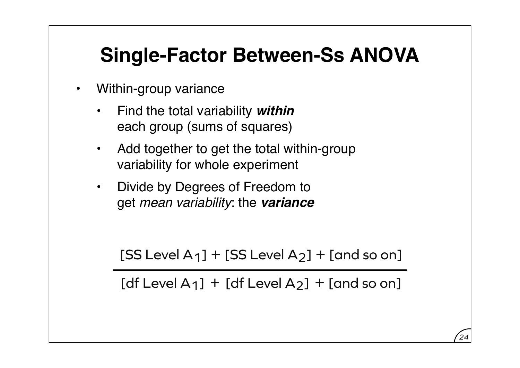- Within-group variance
	- Find the total variability *within* each group (sums of squares)
	- Add together to get the total within-group variability for whole experiment
	- Divide by Degrees of Freedom to get *mean variability*: the *variance*

 $[SS Level A<sub>1</sub>] + [SS Level A<sub>2</sub>] + [and so on]$ 

[df Level A<sub>1</sub>] + [df Level A<sub>2</sub>] + [and so on]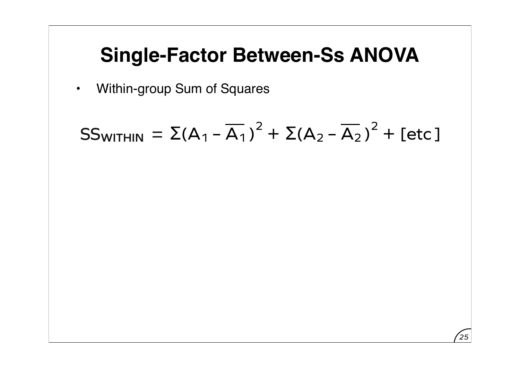• Within-group Sum of Squares

$$
SS_{WITHIN} = \Sigma(A_1 - \overline{A_1})^2 + \Sigma(A_2 - \overline{A_2})^2 + [\text{etc}]
$$

*25*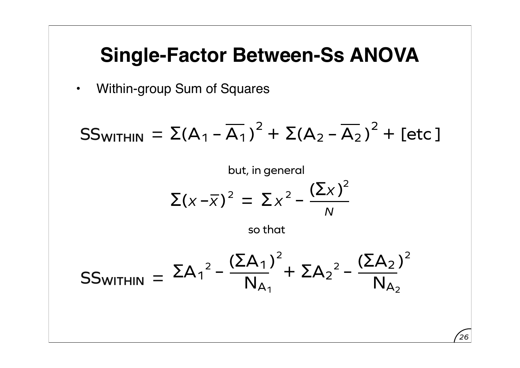• Within-group Sum of Squares

$$
SS_{WITHIN} = \Sigma(A_1 - \overline{A_1})^2 + \Sigma(A_2 - \overline{A_2})^2 + [\text{etc}]
$$

but, in general  

$$
\Sigma(x-\overline{x})^2 = \Sigma x^2 - \frac{(\Sigma x)^2}{N}
$$

so that

$$
SS_{WITHIN} = \Sigma A_1^2 - \frac{(\Sigma A_1)^2}{N_{A_1}} + \Sigma A_2^2 - \frac{(\Sigma A_2)^2}{N_{A_2}}
$$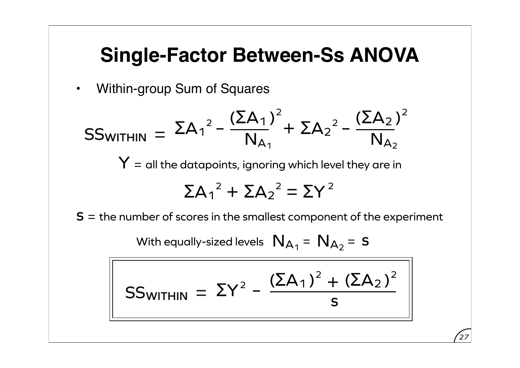• Within-group Sum of Squares

$$
SS_{WITHIN} = \Sigma A_1^2 - \frac{(\Sigma A_1)^2}{N_{A_1}} + \Sigma A_2^2 - \frac{(\Sigma A_2)^2}{N_{A_2}}
$$

 $Y =$  all the datapoints, ignoring which level they are in

$$
\Sigma A_1^2 + \Sigma A_2^2 = \Sigma Y^2
$$

 $S =$  the number of scores in the smallest component of the experiment

With equally-sized levels 
$$
N_{A_1} = N_{A_2} = s
$$

$$
SS_{WITHIN} = \Sigma Y^{2} - \frac{(\Sigma A_{1})^{2} + (\Sigma A_{2})^{2}}{s}
$$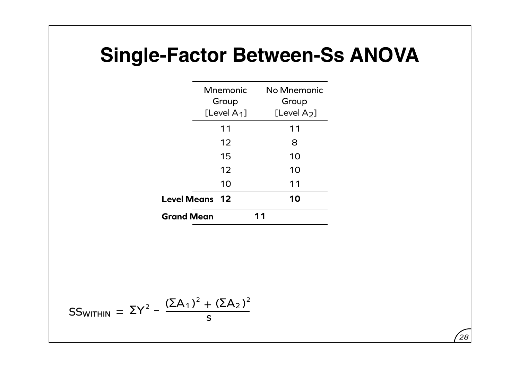|                    | Mnemonic<br>Group<br>[Level $A_1$ ] |    | No Mnemonic<br>Group<br>[Level $A_2$ ] |
|--------------------|-------------------------------------|----|----------------------------------------|
|                    | 11                                  |    | 11                                     |
|                    | 12                                  |    | 8                                      |
|                    | 15                                  |    | 10                                     |
|                    | 12                                  |    | 10                                     |
|                    | 10                                  |    | 11                                     |
| <b>Level Means</b> | 12                                  |    | 10                                     |
| <b>Grand Mean</b>  |                                     | 11 |                                        |

$$
SS_{WITHIN} = \Sigma Y^{2} - \frac{(\Sigma A_{1})^{2} + (\Sigma A_{2})^{2}}{s}
$$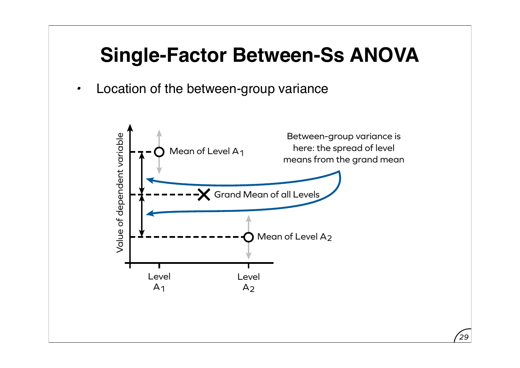*•* Location of the between-group variance

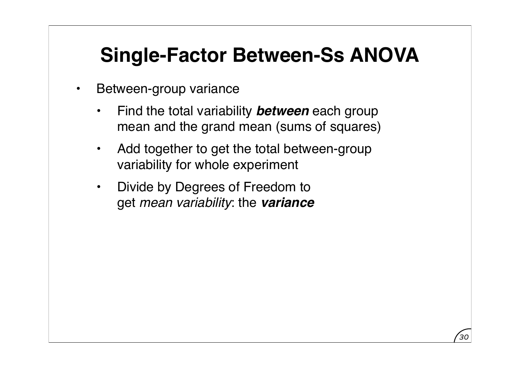- Between-group variance
	- Find the total variability *between* each group mean and the grand mean (sums of squares)
	- Add together to get the total between-group variability for whole experiment
	- Divide by Degrees of Freedom to get *mean variability*: the *variance*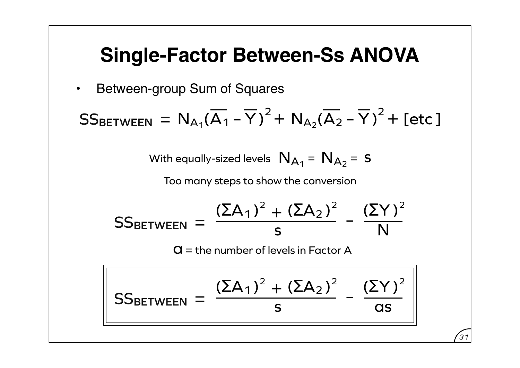• Between-group Sum of Squares

 $SS_{\texttt{BETWEEN}} = N_{A_1}(\overline{A_1} - \overline{Y})^2 + N_{A_2}(\overline{A_2} - \overline{Y})^2 + [\text{etc}]\$ 

With equally-sized levels  $\,$   $N_{A_1}$  =  $\,$   $N_{A_2}$  =  $\,$  S

Too many steps to show the conversion

$$
SS_{BETWEEN} = \frac{(\Sigma A_1)^2 + (\Sigma A_2)^2}{s} - \frac{(\Sigma Y)^2}{N}
$$

 $\mathbf{Q}$  = the number of levels in Factor A

$$
\text{SS}_{\text{BETWEEN}} = \frac{(\Sigma A_1)^2 + (\Sigma A_2)^2}{s} - \frac{(\Sigma Y)^2}{as}
$$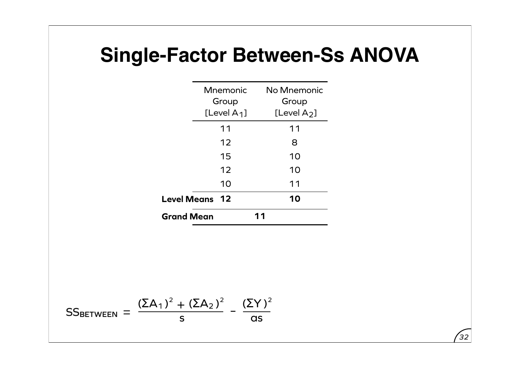| <b>Mnemonic</b><br>Group              | [Level $A_1$ ] |    | No Mnemonic<br>Group<br>[Level $A_2$ ] |
|---------------------------------------|----------------|----|----------------------------------------|
| 11                                    |                |    | 11                                     |
|                                       | 12             |    | 8                                      |
| 15                                    |                |    | 10                                     |
|                                       | 12             |    | 10                                     |
|                                       | 10             |    | 11                                     |
| <b>Level Means</b><br>$\overline{12}$ |                |    | 10                                     |
| <b>Grand Mean</b>                     |                | 11 |                                        |

$$
SS_{BETWEEN} = \frac{(\Sigma A_1)^2 + (\Sigma A_2)^2}{s} - \frac{(\Sigma Y)^2}{as}
$$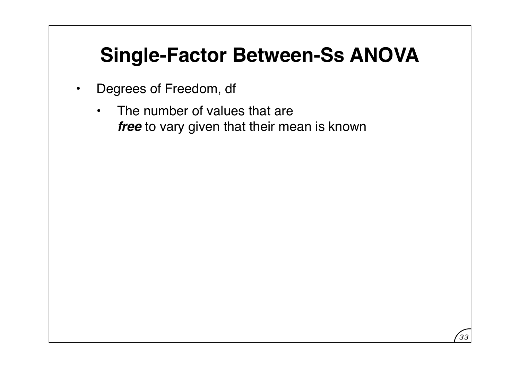- Degrees of Freedom, df
	- The number of values that are *free* to vary given that their mean is known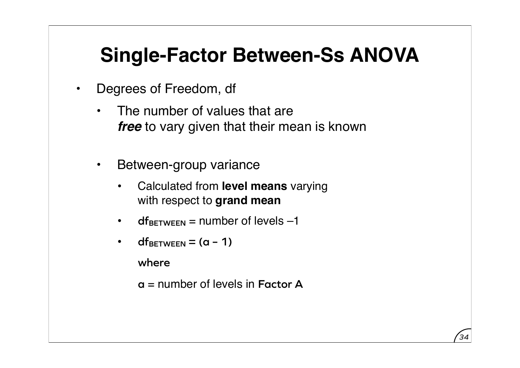- Degrees of Freedom, df
	- The number of values that are *free* to vary given that their mean is known
	- Between-group variance
		- Calculated from **level means** varying with respect to **grand mean**
		- $\cdot$  **df**BETWEEN = number of levels  $-1$
		- $df$ BETWEEN =  $(a 1)$

**where**

**a** = number of levels in **Factor A**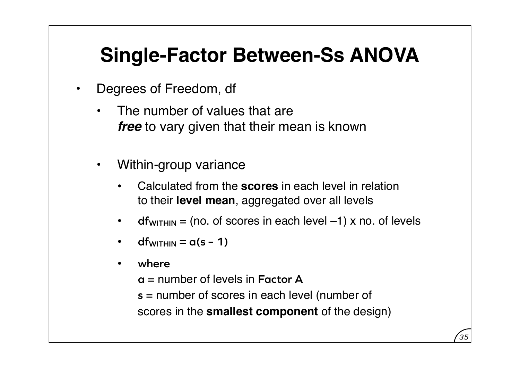- Degrees of Freedom, df
	- The number of values that are *free* to vary given that their mean is known
	- Within-group variance
		- Calculated from the **scores** in each level in relation to their **level mean**, aggregated over all levels
		- $df_{WITHIN}$  = (no. of scores in each level  $-1$ ) x no. of levels
		- **dfWITHIN = a(s 1)**
		- **where**
			- **a** = number of levels in **Factor A**
			- **s** = number of scores in each level (number of scores in the **smallest component** of the design)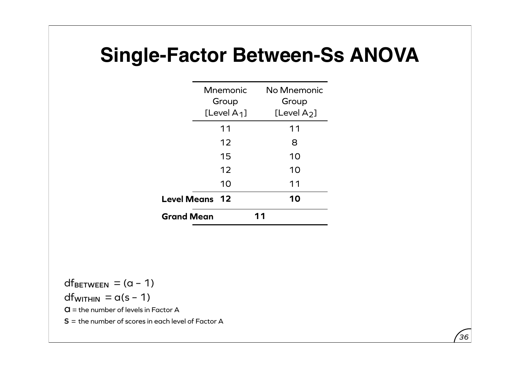|                    | Mnemonic<br>Group |    | No Mnemonic<br>Group |
|--------------------|-------------------|----|----------------------|
|                    | [Level $A_1$ ]    |    | [Level $A_2$ ]       |
|                    | 11                |    | 11                   |
|                    | 12                |    | 8                    |
|                    | 15                |    | 10                   |
|                    | 12                |    | 10                   |
|                    | 10                |    | 11                   |
| <b>Level Means</b> | 12                |    | 10                   |
| <b>Grand Mean</b>  |                   | 11 |                      |

 $df_{BETWEEN} = (a - 1)$  $df_{WITHIN} = \alpha(s - 1)$  $\mathbf{G}$  = the number of levels in Factor A  $S =$  the number of scores in each level of Factor A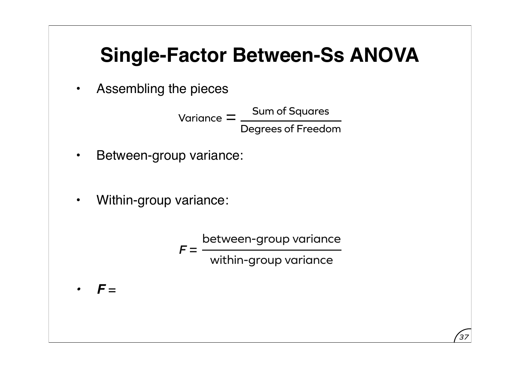• Assembling the pieces

Variance  $=$   $\frac{\mathsf{Sum of} \; \mathsf{Squares}}{}$ Degrees of Freedom

- Between-group variance:
- Within-group variance:

 $F =$ between-group variance within-group variance

*• F* =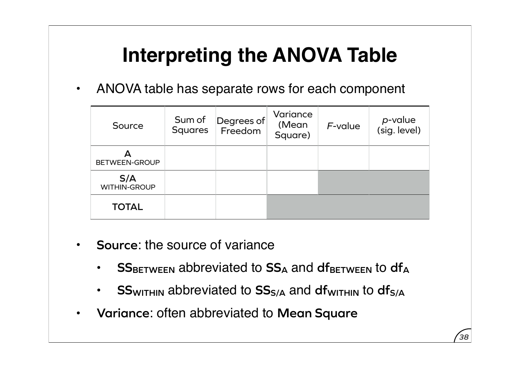• ANOVA table has separate rows for each component

| Source              | Sum of<br><b>Squares</b> | Degrees of<br>Freedom | Variance<br>(Mean<br>Square) | F-value | p-value<br>(sig. level) |
|---------------------|--------------------------|-----------------------|------------------------------|---------|-------------------------|
| BETWEEN-GROUP       |                          |                       |                              |         |                         |
| S/A<br>WITHIN-GROUP |                          |                       |                              |         |                         |
| <b>TOTAL</b>        |                          |                       |                              |         |                         |

- **Source**: the source of variance
	- **SSBETWEEN** abbreviated to SS<sub>A</sub> and dfBETWEEN to df<sub>A</sub>
	- **SSWITHIN** abbreviated to  $SS_{S/A}$  and dfwithin to df<sub>S/A</sub>
- **Variance**: often abbreviated to **Mean Square**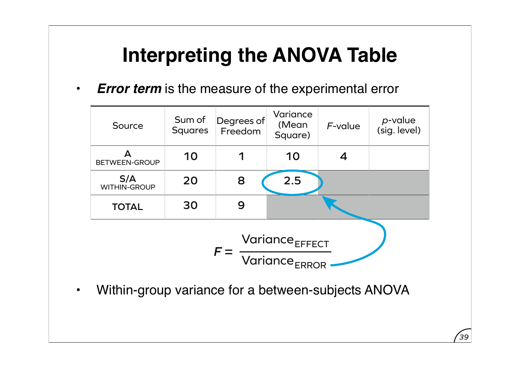• *Error term* is the measure of the experimental error



• Within-group variance for a between-subjects ANOVA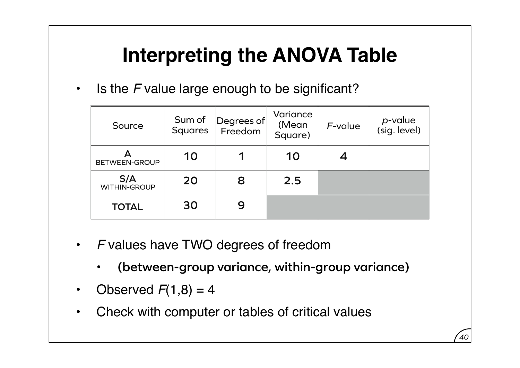• Is the *F* value large enough to be significant?

| Source                     | Sum of<br><b>Squares</b> | Degrees of<br>Freedom | Variance<br>(Mean<br>Square) | $F$ -value | p-value<br>(sig. level) |
|----------------------------|--------------------------|-----------------------|------------------------------|------------|-------------------------|
| <b>BETWEEN-GROUP</b>       | 10                       |                       | 10                           |            |                         |
| S/A<br><b>WITHIN-GROUP</b> | 20                       | 8                     | 2.5                          |            |                         |
| <b>TOTAL</b>               | 30                       | 9                     |                              |            |                         |

- *F* values have TWO degrees of freedom
	- **(between-group variance, within-group variance)**
- Observed  $F(1,8) = 4$
- Check with computer or tables of critical values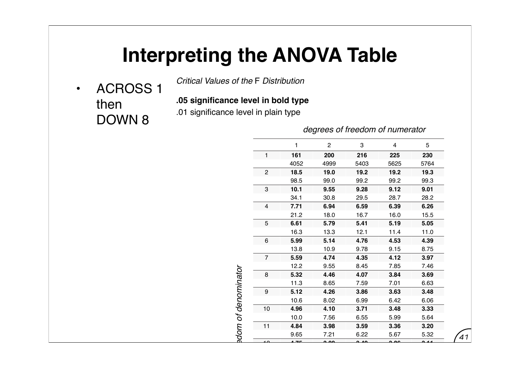• ACROSS 1 then DOWN 8

*Critical Values of the* F *Distribution*

**.05 significance level in bold type**

.01 significance level in plain type

*degrees of freedom of numerator*

PS908 Test 2 [Specimen]

|                         | 1     | 2    | 3        | 4    | 5           |
|-------------------------|-------|------|----------|------|-------------|
| 1                       | 161   | 200  | 216      | 225  | 230         |
|                         | 4052  | 4999 | 5403     | 5625 | 5764        |
| $\boldsymbol{2}$        | 18.5  | 19.0 | 19.2     | 19.2 | 19.3        |
|                         | 98.5  | 99.0 | 99.2     | 99.2 | 99.3        |
| 3                       | 10.1  | 9.55 | 9.28     | 9.12 | 9.01        |
|                         | 34.1  | 30.8 | 29.5     | 28.7 | 28.2        |
| $\overline{\mathbf{4}}$ | 7.71  | 6.94 | 6.59     | 6.39 | 6.26        |
|                         | 21.2  | 18.0 | 16.7     | 16.0 | 15.5        |
| 5                       | 6.61  | 5.79 | 5.41     | 5.19 | 5.05        |
|                         | 16.3  | 13.3 | 12.1     | 11.4 | 11.0        |
| 6                       | 5.99  | 5.14 | 4.76     | 4.53 | 4.39        |
|                         | 13.8  | 10.9 | 9.78     | 9.15 | 8.75        |
| $\overline{7}$          | 5.59  | 4.74 | 4.35     | 4.12 | 3.97        |
|                         | 12.2  | 9.55 | 8.45     | 7.85 | 7.46        |
| 8                       | 5.32  | 4.46 | 4.07     | 3.84 | 3.69        |
|                         | 11.3  | 8.65 | 7.59     | 7.01 | 6.63        |
| $\boldsymbol{9}$        | 5.12  | 4.26 | 3.86     | 3.63 | 3.48        |
|                         | 10.6  | 8.02 | 6.99     | 6.42 | 6.06        |
| 10                      | 4.96  | 4.10 | 3.71     | 3.48 | 3.33        |
|                         | 10.0  | 7.56 | 6.55     | 5.99 | 5.64        |
| 11                      | 4.84  | 3.98 | 3.59     | 3.36 | 3.20        |
|                         | 9.65  | 7.21 | 6.22     | 5.67 | 5.32        |
|                         | $-75$ | പ്പ  | <u>n</u> | مہ ہ | <b>O</b> 44 |
|                         | 9.33  | 6.93 | 5.95     | 5.41 | 5.06        |
| 13                      | 4.67  | 3.81 | 3.41     | 3.18 | 3.03        |
|                         |       |      |          |      |             |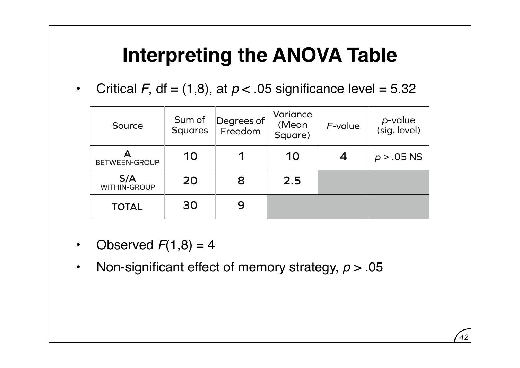• Critical *F*, df = (1,8), at  $p < 0.05$  significance level = 5.32

| Source                     | Sum of<br><b>Squares</b> | Degrees of<br>Freedom | Variance<br>(Mean<br>Square) | F-value | p-value<br>(sig. level) |
|----------------------------|--------------------------|-----------------------|------------------------------|---------|-------------------------|
| <b>BETWEEN-GROUP</b>       | 10                       |                       | 10                           |         | $p > .05$ NS            |
| S/A<br><b>WITHIN-GROUP</b> | 20                       | 8                     | 2.5                          |         |                         |
| <b>TOTAL</b>               | 30                       |                       |                              |         |                         |

- Observed  $F(1,8) = 4$
- Non-significant effect of memory strategy, *p* > .05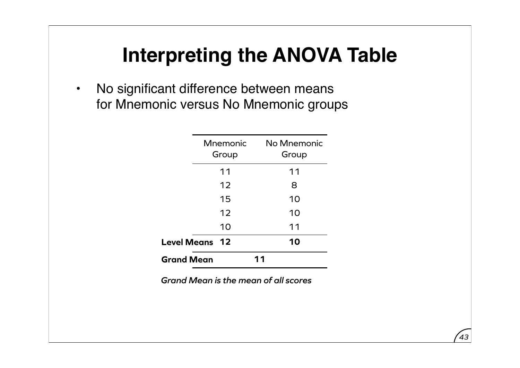• No significant difference between means for Mnemonic versus No Mnemonic groups

|                       | Mnemonic<br>Group |    | No Mnemonic<br>Group |
|-----------------------|-------------------|----|----------------------|
|                       | 11                |    | 11                   |
|                       | 12                |    | 8                    |
|                       | 15                |    | 10                   |
|                       | 12                |    | 10                   |
|                       | 10                |    | 11                   |
| <b>Level Means</b> 12 |                   |    | 10                   |
| <b>Grand Mean</b>     |                   | 11 |                      |

*Grand Mean is the mean of all scores*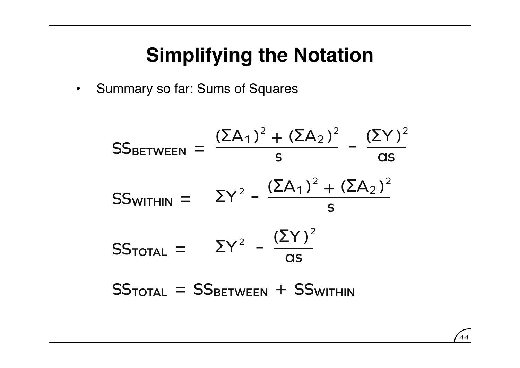• Summary so far: Sums of Squares

 $SS$ TOTAL =  $\Sigma Y^2$  –  $(\Sigma Y)^2$ as SS<sub>WITHIN</sub> =  $\Sigma Y^2 - \frac{(\Sigma A_1)^2}{2}$ – s  $+$   $(\Sigma A_2)^2$ SSBETWEEN =  $(ΣA<sub>1</sub>)<sup>2</sup>$ s  $+$   $(\Sigma A_2)^2$ –  $(\Sigma Y)^2$ as  $SS$ <sub>TOTAL</sub> = SS<sub>BETWEEN</sub> + SS<sub>WITHIN</sub>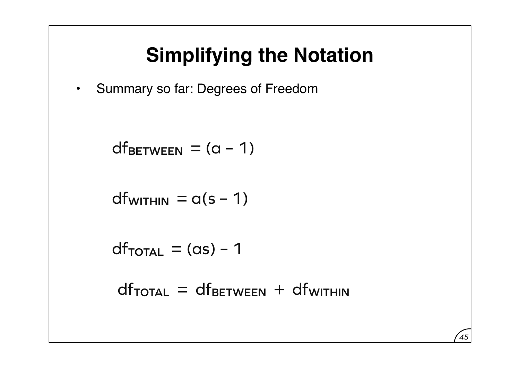• Summary so far: Degrees of Freedom

SS**BETWEEN** = df**BETWEEN** = (a – 1)

 $df_{WITHIN} = a(s - 1)$ 

SS**TOTAL** = df**TOTAL** = (as) – 1

 $df_{\text{TOTAL}} = df_{\text{BETWEEN}} + df_{\text{WITHIN}}$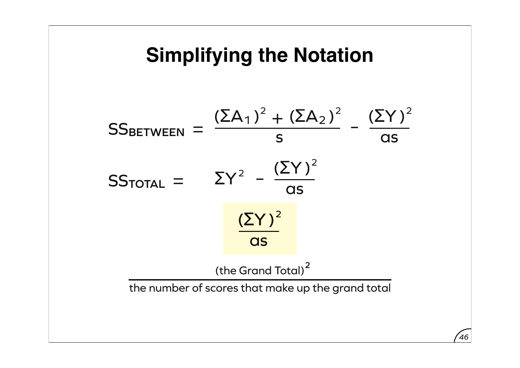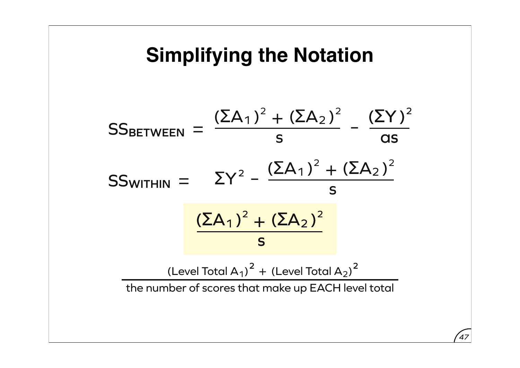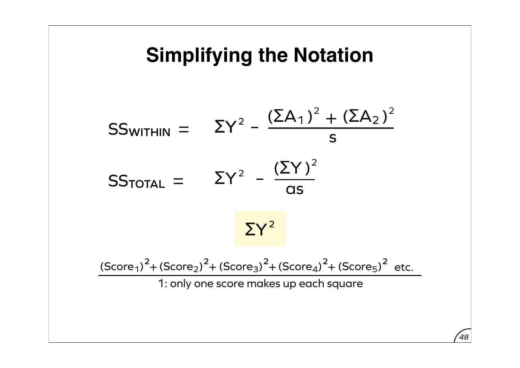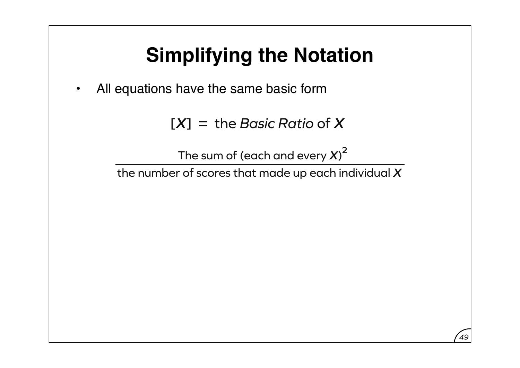• All equations have the same basic form

[*X*] = the *Basic Ratio* of *X*

The sum of (each and every  $\boldsymbol{X}$ )<sup>2</sup>

the number of scores that made up each individual *X*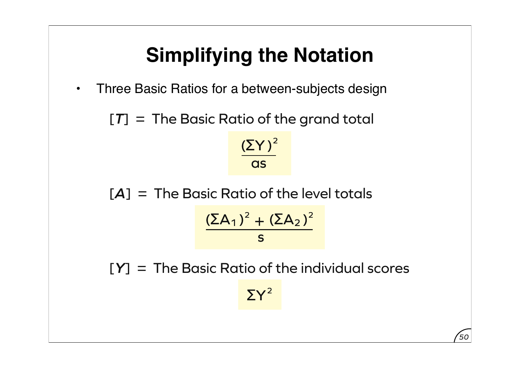• Three Basic Ratios for a between-subjects design

[*T*] = The Basic Ratio of the grand total

 $(\Sigma Y)^2$ **as** 

[*A*] = The Basic Ratio of the level totals

$$
\frac{(\Sigma A_1)^2 + (\Sigma A_2)^2}{s}
$$

[*Y*] = The Basic Ratio of the individual scores

 $\Sigma Y^2$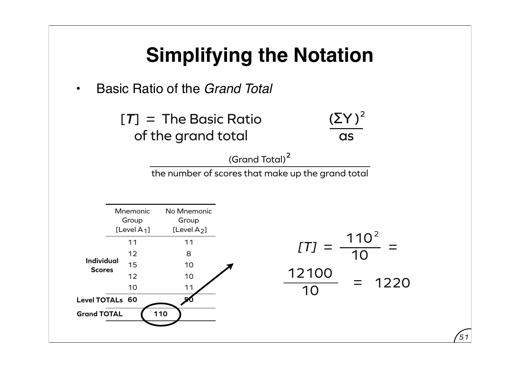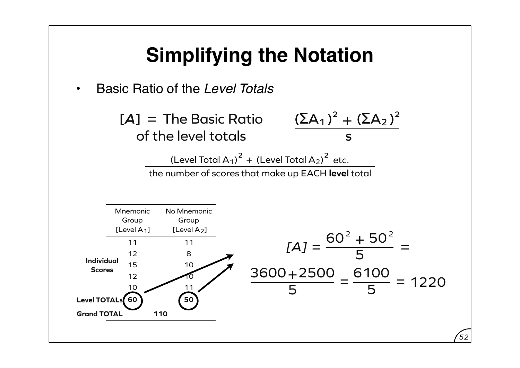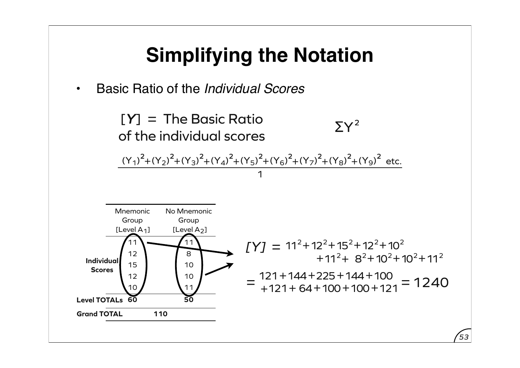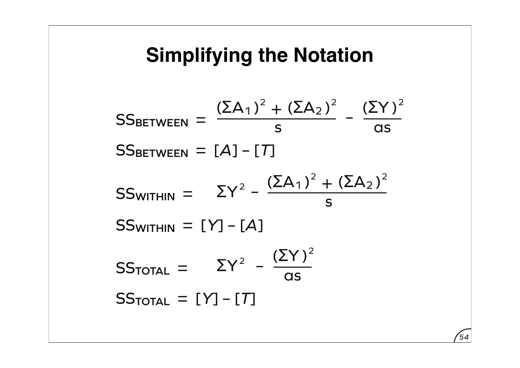$SS$ TOTAL =  $\Sigma Y^2$  –  $(\Sigma Y)^2$  $\overline{\text{as}}$ SS<sub>WITHIN</sub> =  $\Sigma Y^2 - \frac{(\Sigma A_1)^2}{2}$ – s  $+$   $(\Sigma A_2)^2$ SSBETWEEN =  $(ΣA<sub>1</sub>)<sup>2</sup>$ s  $+$   $(\Sigma A_2)^2$ –  $(\Sigma Y)^2$  $\overline{\text{as}}$  $SS<sub>BETWEEN</sub> =  $[A] - [T]$$  $SS$ WITHIN =  $[Y] - [A]$  $SS$ <sup>TOTAL</sup> =  $[Y]$  –  $[T]$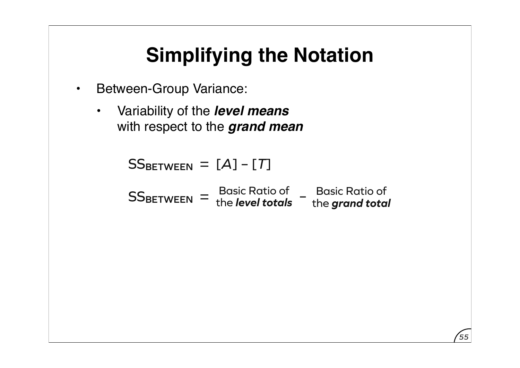- Between-Group Variance:
	- Variability of the *level means* with respect to the *grand mean*

 $SS<sub>BETWEEN</sub> =  $[A] - [T]$$ 

|                  | <b>Basic Ratio of</b>   | <b>Basic Ratio of</b> |
|------------------|-------------------------|-----------------------|
| <b>SSBETWEEN</b> | the <b>level totals</b> | the grand total       |

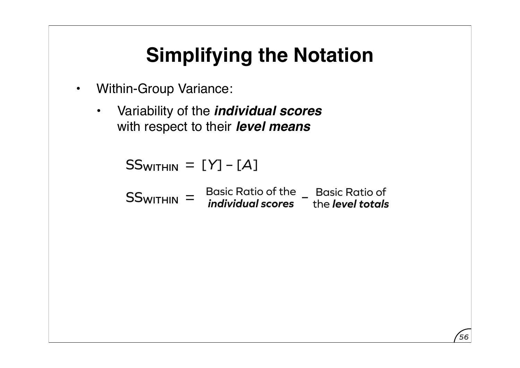- Within-Group Variance:
	- Variability of the *individual scores* with respect to their *level means*

SS**WITHIN** = [*Y*] – [*A*]

SS**WITHIN** = Basic Ratio of the Basic Ratio of *individual scores* – the *level totals*

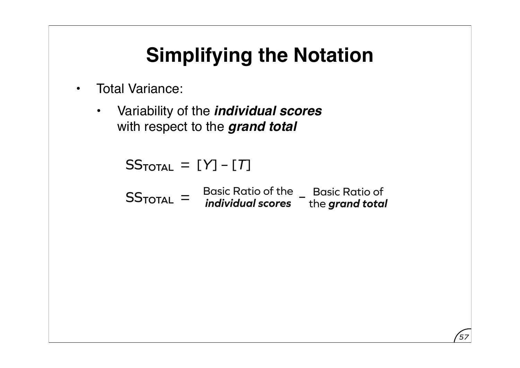- Total Variance:
	- Variability of the *individual scores* with respect to the *grand total*

 $SS$ <sub>TOTAL</sub> =  $[Y]$  –  $[T]$ 

SS<sub>TOTAL</sub> = Basic Ratio of the Basic Ratio of *individual scores* – the *grand total*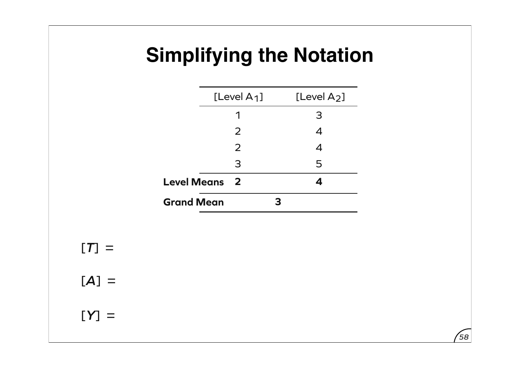|                      | [Level $A_1$ ] | [Level $A_2$ ]   |
|----------------------|----------------|------------------|
|                      |                | 3                |
|                      | 2              | $\boldsymbol{4}$ |
|                      | 2              | $\boldsymbol{4}$ |
|                      | 3              | 5                |
| <b>Level Means</b> 2 |                |                  |
| <b>Grand Mean</b>    |                |                  |

*58*

 $[T] =$ 

 $[A] =$ 

 $[Y] =$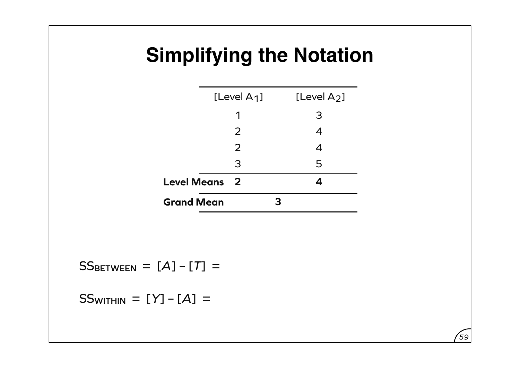|                    | [Level $A_1$ ]          | [Level $A_2$ ]             |
|--------------------|-------------------------|----------------------------|
|                    |                         | 3                          |
|                    | 2                       | $\boldsymbol{\mathcal{A}}$ |
|                    | 2                       | 4                          |
|                    | 3                       | 5                          |
| <b>Level Means</b> | $\overline{\mathbf{2}}$ |                            |
| <b>Grand Mean</b>  |                         |                            |

*59*

 $SS$ BETWEEN =  $[A] - [T] =$ 

 $SS_{WITHIN} = [Y] - [A] =$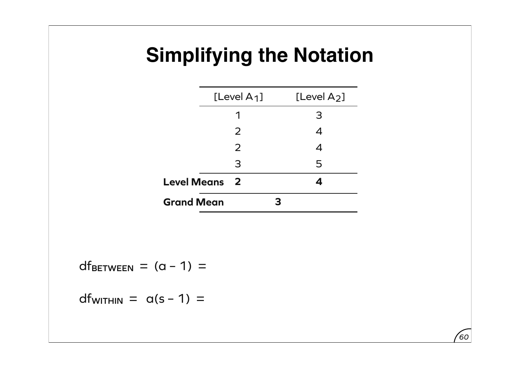|                    | [Level $A_1$ ]          |   | [Level $A_2$ ]             |
|--------------------|-------------------------|---|----------------------------|
|                    |                         |   | 3                          |
|                    | 2                       |   | $\boldsymbol{\mathcal{A}}$ |
|                    | 2                       |   | 4                          |
|                    | 3                       |   | 5                          |
| <b>Level Means</b> | $\overline{\mathbf{2}}$ |   |                            |
| <b>Grand Mean</b>  |                         | 3 |                            |

*60*

 $df_{BETWEEN} = (a - 1) =$ 

 $df_{WITHIN} = \alpha(s - 1) =$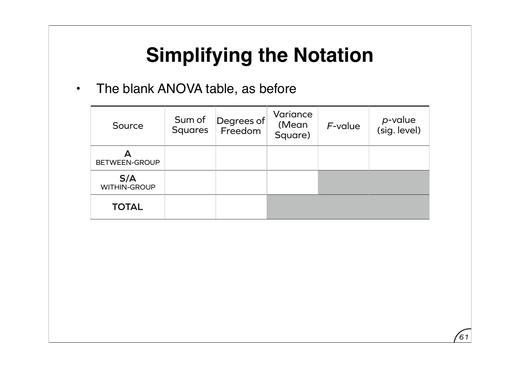• The blank ANOVA table, as before

| Source                     | Sum of<br><b>Squares</b> | Degrees of<br>Freedom | Variance<br>(Mean<br>Square) | $F$ -value | p-value<br>(sig. level) |
|----------------------------|--------------------------|-----------------------|------------------------------|------------|-------------------------|
| BETWEEN-GROUP              |                          |                       |                              |            |                         |
| S/A<br><b>WITHIN-GROUP</b> |                          |                       |                              |            |                         |
| <b>TOTAL</b>               |                          |                       |                              |            |                         |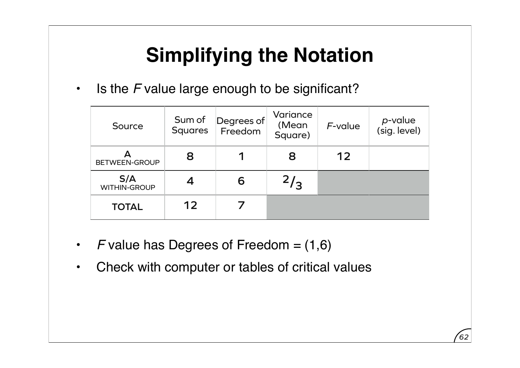• Is the *F* value large enough to be significant?

| Source                     | Sum of<br><b>Squares</b> | Degrees of<br>Freedom | Variance<br>(Mean<br>Square) | $F$ -value | <i>p</i> -value<br>(sig. level) |
|----------------------------|--------------------------|-----------------------|------------------------------|------------|---------------------------------|
| <b>BETWEEN-GROUP</b>       | 8                        |                       | 8                            | 12         |                                 |
| S/A<br><b>WITHIN-GROUP</b> |                          | 6                     | 2/3                          |            |                                 |
| <b>TOTAL</b>               | 12                       |                       |                              |            |                                 |

- *F* value has Degrees of Freedom = (1,6)
- Check with computer or tables of critical values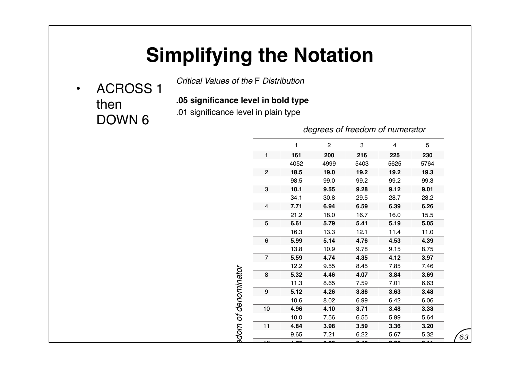• ACROSS 1 then DOWN 6

*Critical Values of the* F *Distribution*

**.05 significance level in bold type**

.01 significance level in plain type

*degrees of freedom of numerator*

PS908 Test 2 [Specimen]

|                | 1     | $\overline{c}$ | 3    | 4    | 5                     |
|----------------|-------|----------------|------|------|-----------------------|
| 1              | 161   | 200            | 216  | 225  | 230                   |
|                | 4052  | 4999           | 5403 | 5625 | 5764                  |
| $\overline{c}$ | 18.5  | 19.0           | 19.2 | 19.2 | 19.3                  |
|                | 98.5  | 99.0           | 99.2 | 99.2 | 99.3                  |
| 3              | 10.1  | 9.55           | 9.28 | 9.12 | 9.01                  |
|                | 34.1  | 30.8           | 29.5 | 28.7 | 28.2                  |
| $\overline{4}$ | 7.71  | 6.94           | 6.59 | 6.39 | 6.26                  |
|                | 21.2  | 18.0           | 16.7 | 16.0 | 15.5                  |
| 5              | 6.61  | 5.79           | 5.41 | 5.19 | 5.05                  |
|                | 16.3  | 13.3           | 12.1 | 11.4 | 11.0                  |
| 6              | 5.99  | 5.14           | 4.76 | 4.53 | 4.39                  |
|                | 13.8  | 10.9           | 9.78 | 9.15 | 8.75                  |
| $\overline{7}$ | 5.59  | 4.74           | 4.35 | 4.12 | 3.97                  |
|                | 12.2  | 9.55           | 8.45 | 7.85 | 7.46                  |
| 8              | 5.32  | 4.46           | 4.07 | 3.84 | 3.69                  |
|                | 11.3  | 8.65           | 7.59 | 7.01 | 6.63                  |
| 9              | 5.12  | 4.26           | 3.86 | 3.63 | 3.48                  |
|                | 10.6  | 8.02           | 6.99 | 6.42 | 6.06                  |
| 10             | 4.96  | 4.10           | 3.71 | 3.48 | 3.33                  |
|                | 10.0  | 7.56           | 6.55 | 5.99 | 5.64                  |
| 11             | 4.84  | 3.98           | 3.59 | 3.36 | 3.20                  |
|                | 9.65  | 7.21           | 6.22 | 5.67 | 5.32                  |
| $\Omega$       | 4. ZE | ച്ച            | ൶    | __   | C.<br>$\overline{14}$ |
|                | 9.33  | 6.93           | 5.95 | 5.41 | 5.06                  |
| 13             | 4.67  | 3.81           | 3.41 | 3.18 | 3.03                  |
|                | جم م  | $\sim$ 70      |      | ە -  | مم ہ                  |

edom of denominator *degrees of freedom of denominator*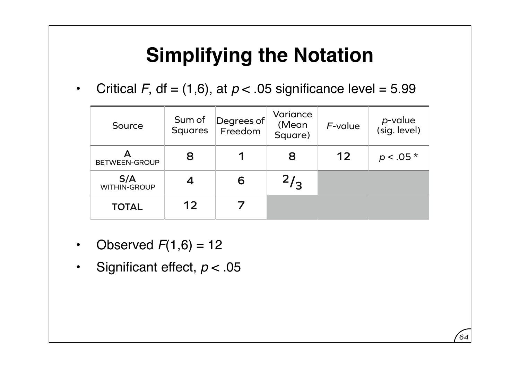• Critical *F*, df = (1,6), at  $p < 0.05$  significance level = 5.99

| Source                     | Sum of<br><b>Squares</b> | Degrees of<br>Freedom | Variance<br>(Mean<br>Square) | F-value | p-value<br>(sig. level) |
|----------------------------|--------------------------|-----------------------|------------------------------|---------|-------------------------|
| <b>BETWEEN-GROUP</b>       | 8                        |                       | 8                            | 12      | $p < .05*$              |
| S/A<br><b>WITHIN-GROUP</b> |                          | 6                     | 2/3                          |         |                         |
| <b>TOTAL</b>               | 12                       |                       |                              |         |                         |

- Observed  $F(1,6) = 12$
- Significant effect,  $p < 05$